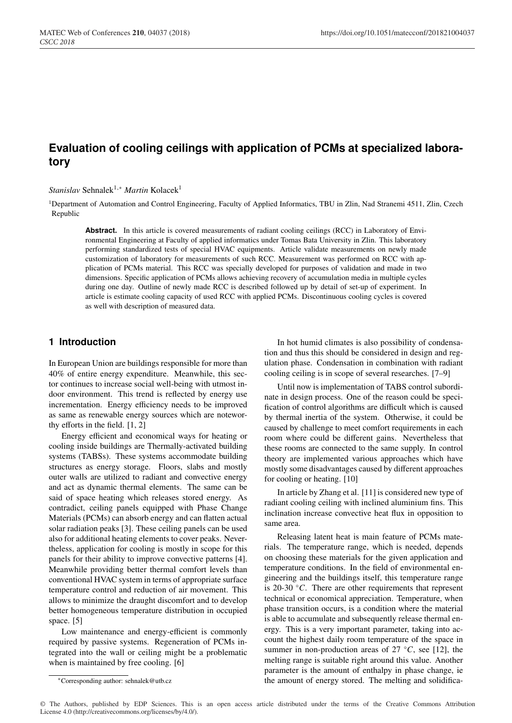# **Evaluation of cooling ceilings with application of PCMs at specialized laboratory**

*Stanislav* Sehnalek<sup>1,∗</sup> *Martin* Kolacek<sup>1</sup>

1Department of Automation and Control Engineering, Faculty of Applied Informatics, TBU in Zlin, Nad Stranemi 4511, Zlin, Czech Republic

Abstract. In this article is covered measurements of radiant cooling ceilings (RCC) in Laboratory of Environmental Engineering at Faculty of applied informatics under Tomas Bata University in Zlin. This laboratory performing standardized tests of special HVAC equipments. Article validate measurements on newly made customization of laboratory for measurements of such RCC. Measurement was performed on RCC with application of PCMs material. This RCC was specially developed for purposes of validation and made in two dimensions. Specific application of PCMs allows achieving recovery of accumulation media in multiple cycles during one day. Outline of newly made RCC is described followed up by detail of set-up of experiment. In article is estimate cooling capacity of used RCC with applied PCMs. Discontinuous cooling cycles is covered as well with description of measured data.

# **1 Introduction**

In European Union are buildings responsible for more than 40% of entire energy expenditure. Meanwhile, this sector continues to increase social well-being with utmost indoor environment. This trend is reflected by energy use incrementation. Energy efficiency needs to be improved as same as renewable energy sources which are noteworthy efforts in the field. [1, 2]

Energy efficient and economical ways for heating or cooling inside buildings are Thermally-activated building systems (TABSs). These systems accommodate building structures as energy storage. Floors, slabs and mostly outer walls are utilized to radiant and convective energy and act as dynamic thermal elements. The same can be said of space heating which releases stored energy. As contradict, ceiling panels equipped with Phase Change Materials (PCMs) can absorb energy and can flatten actual solar radiation peaks [3]. These ceiling panels can be used also for additional heating elements to cover peaks. Nevertheless, application for cooling is mostly in scope for this panels for their ability to improve convective patterns [4]. Meanwhile providing better thermal comfort levels than conventional HVAC system in terms of appropriate surface temperature control and reduction of air movement. This allows to minimize the draught discomfort and to develop better homogeneous temperature distribution in occupied space. [5]

Low maintenance and energy-efficient is commonly required by passive systems. Regeneration of PCMs integrated into the wall or ceiling might be a problematic when is maintained by free cooling. [6]

In hot humid climates is also possibility of condensation and thus this should be considered in design and regulation phase. Condensation in combination with radiant cooling ceiling is in scope of several researches. [7–9]

Until now is implementation of TABS control subordinate in design process. One of the reason could be specification of control algorithms are difficult which is caused by thermal inertia of the system. Otherwise, it could be caused by challenge to meet comfort requirements in each room where could be different gains. Nevertheless that these rooms are connected to the same supply. In control theory are implemented various approaches which have mostly some disadvantages caused by different approaches for cooling or heating. [10]

In article by Zhang et al. [11] is considered new type of radiant cooling ceiling with inclined aluminium fins. This inclination increase convective heat flux in opposition to same area.

Releasing latent heat is main feature of PCMs materials. The temperature range, which is needed, depends on choosing these materials for the given application and temperature conditions. In the field of environmental engineering and the buildings itself, this temperature range is 20-30 ◦*C*. There are other requirements that represent technical or economical appreciation. Temperature, when phase transition occurs, is a condition where the material is able to accumulate and subsequently release thermal energy. This is a very important parameter, taking into account the highest daily room temperature of the space in summer in non-production areas of  $27 °C$ , see [12], the melting range is suitable right around this value. Another parameter is the amount of enthalpy in phase change, ie the amount of energy stored. The melting and solidifica-

<sup>∗</sup>Corresponding author: sehnalek@utb.cz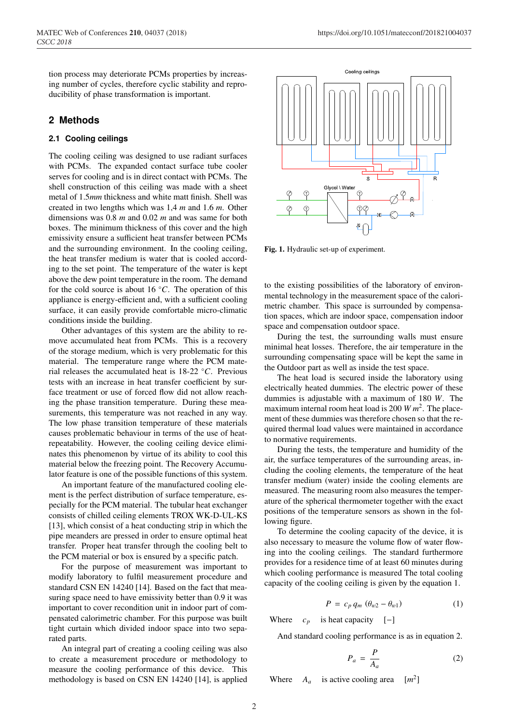## **2 Methods**

#### **2.1 Cooling ceilings**

The cooling ceiling was designed to use radiant surfaces with PCMs. The expanded contact surface tube cooler serves for cooling and is in direct contact with PCMs. The shell construction of this ceiling was made with a sheet metal of 1.5*mm* thickness and white matt finish. Shell was created in two lengths which was 1,4 *m* and 1.6 *m*. Other dimensions was 0.8 *m* and 0.02 *m* and was same for both boxes. The minimum thickness of this cover and the high emissivity ensure a sufficient heat transfer between PCMs and the surrounding environment. In the cooling ceiling, the heat transfer medium is water that is cooled according to the set point. The temperature of the water is kept above the dew point temperature in the room. The demand for the cold source is about 16 ◦*C*. The operation of this appliance is energy-efficient and, with a sufficient cooling surface, it can easily provide comfortable micro-climatic conditions inside the building.

Other advantages of this system are the ability to remove accumulated heat from PCMs. This is a recovery of the storage medium, which is very problematic for this material. The temperature range where the PCM material releases the accumulated heat is 18-22 ◦*C*. Previous tests with an increase in heat transfer coefficient by surface treatment or use of forced flow did not allow reaching the phase transition temperature. During these measurements, this temperature was not reached in any way. The low phase transition temperature of these materials causes problematic behaviour in terms of the use of heatrepeatability. However, the cooling ceiling device eliminates this phenomenon by virtue of its ability to cool this material below the freezing point. The Recovery Accumulator feature is one of the possible functions of this system.

An important feature of the manufactured cooling element is the perfect distribution of surface temperature, especially for the PCM material. The tubular heat exchanger consists of chilled ceiling elements TROX WK-D-UL-KS [13], which consist of a heat conducting strip in which the pipe meanders are pressed in order to ensure optimal heat transfer. Proper heat transfer through the cooling belt to the PCM material or box is ensured by a specific patch.

For the purpose of measurement was important to modify laboratory to fulfil measurement procedure and standard CSN EN 14240 [14]. Based on the fact that measuring space need to have emissivity better than 0.9 it was important to cover recondition unit in indoor part of compensated calorimetric chamber. For this purpose was built tight curtain which divided indoor space into two separated parts.

An integral part of creating a cooling ceiling was also to create a measurement procedure or methodology to measure the cooling performance of this device. This methodology is based on CSN EN 14240 [14], is applied



Fig. 1. Hydraulic set-up of experiment.

to the existing possibilities of the laboratory of environmental technology in the measurement space of the calorimetric chamber. This space is surrounded by compensation spaces, which are indoor space, compensation indoor space and compensation outdoor space.

During the test, the surrounding walls must ensure minimal heat losses. Therefore, the air temperature in the surrounding compensating space will be kept the same in the Outdoor part as well as inside the test space.

The heat load is secured inside the laboratory using electrically heated dummies. The electric power of these dummies is adjustable with a maximum of 180 *W*. The maximum internal room heat load is 200 *W m*2. The placement of these dummies was therefore chosen so that the required thermal load values were maintained in accordance to normative requirements.

During the tests, the temperature and humidity of the air, the surface temperatures of the surrounding areas, including the cooling elements, the temperature of the heat transfer medium (water) inside the cooling elements are measured. The measuring room also measures the temperature of the spherical thermometer together with the exact positions of the temperature sensors as shown in the following figure.

To determine the cooling capacity of the device, it is also necessary to measure the volume flow of water flowing into the cooling ceilings. The standard furthermore provides for a residence time of at least 60 minutes during which cooling performance is measured The total cooling capacity of the cooling ceiling is given by the equation 1.

$$
P = c_p q_m (\theta_{w2} - \theta_{w1}) \tag{1}
$$

Where  $c_p$  is heat capacity [−]

And standard cooling performance is as in equation 2.

$$
P_a = \frac{P}{A_a} \tag{2}
$$

Where  $A_a$  is active cooling area  $[m^2]$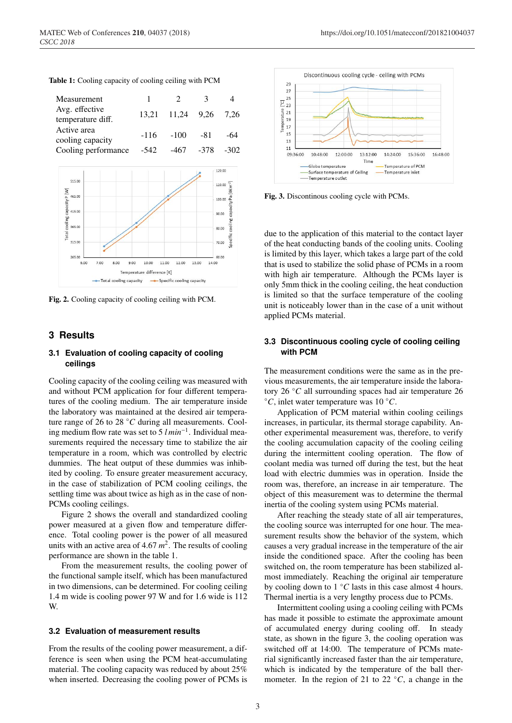|  |  |  | Table 1: Cooling capacity of cooling ceiling with PCM |  |  |  |
|--|--|--|-------------------------------------------------------|--|--|--|
|--|--|--|-------------------------------------------------------|--|--|--|

| Measurement                      |        | $\mathcal{D}$         | 3            |      |
|----------------------------------|--------|-----------------------|--------------|------|
| Avg. effective                   |        | 13,21 11,24 9,26 7,26 |              |      |
| temperature diff.<br>Active area |        |                       |              |      |
| cooling capacity                 | $-116$ | $-100$                | -81          | -64  |
| Cooling performance              | -542   |                       | $-467 - 378$ | -302 |



Fig. 2. Cooling capacity of cooling ceiling with PCM.

## **3 Results**

### **3.1 Evaluation of cooling capacity of cooling ceilings**

Cooling capacity of the cooling ceiling was measured with and without PCM application for four different temperatures of the cooling medium. The air temperature inside the laboratory was maintained at the desired air temperature range of 26 to 28 ◦*C* during all measurements. Cooling medium flow rate was set to 5 *l min*−1. Individual measurements required the necessary time to stabilize the air temperature in a room, which was controlled by electric dummies. The heat output of these dummies was inhibited by cooling. To ensure greater measurement accuracy, in the case of stabilization of PCM cooling ceilings, the settling time was about twice as high as in the case of non-PCMs cooling ceilings.

Figure 2 shows the overall and standardized cooling power measured at a given flow and temperature difference. Total cooling power is the power of all measured units with an active area of 4.67 *m*2. The results of cooling performance are shown in the table 1.

From the measurement results, the cooling power of the functional sample itself, which has been manufactured in two dimensions, can be determined. For cooling ceiling 1.4 m wide is cooling power 97 W and for 1.6 wide is 112 W.

#### **3.2 Evaluation of measurement results**

From the results of the cooling power measurement, a difference is seen when using the PCM heat-accumulating material. The cooling capacity was reduced by about 25% when inserted. Decreasing the cooling power of PCMs is



Fig. 3. Discontinous cooling cycle with PCMs.

due to the application of this material to the contact layer of the heat conducting bands of the cooling units. Cooling is limited by this layer, which takes a large part of the cold that is used to stabilize the solid phase of PCMs in a room with high air temperature. Although the PCMs layer is only 5mm thick in the cooling ceiling, the heat conduction is limited so that the surface temperature of the cooling unit is noticeably lower than in the case of a unit without applied PCMs material.

#### **3.3 Discontinuous cooling cycle of cooling ceiling with PCM**

The measurement conditions were the same as in the previous measurements, the air temperature inside the laboratory 26 ◦*C* all surrounding spaces had air temperature 26 ◦*C*, inlet water temperature was 10 ◦*C*.

Application of PCM material within cooling ceilings increases, in particular, its thermal storage capability. Another experimental measurement was, therefore, to verify the cooling accumulation capacity of the cooling ceiling during the intermittent cooling operation. The flow of coolant media was turned off during the test, but the heat load with electric dummies was in operation. Inside the room was, therefore, an increase in air temperature. The object of this measurement was to determine the thermal inertia of the cooling system using PCMs material.

After reaching the steady state of all air temperatures, the cooling source was interrupted for one hour. The measurement results show the behavior of the system, which causes a very gradual increase in the temperature of the air inside the conditioned space. After the cooling has been switched on, the room temperature has been stabilized almost immediately. Reaching the original air temperature by cooling down to 1 ◦*C* lasts in this case almost 4 hours. Thermal inertia is a very lengthy process due to PCMs.

Intermittent cooling using a cooling ceiling with PCMs has made it possible to estimate the approximate amount of accumulated energy during cooling off. In steady state, as shown in the figure 3, the cooling operation was switched off at 14:00. The temperature of PCMs material significantly increased faster than the air temperature, which is indicated by the temperature of the ball thermometer. In the region of 21 to 22  $\degree$ *C*, a change in the